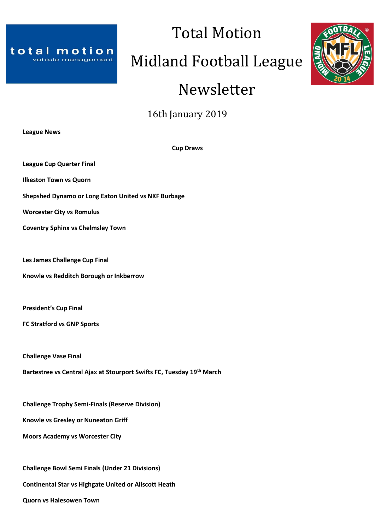

# Midland Football League

Total Motion

# Newsletter



**League News**

**Cup Draws**

**League Cup Quarter Final**

**Ilkeston Town vs Quorn**

**Shepshed Dynamo or Long Eaton United vs NKF Burbage**

**Worcester City vs Romulus**

**Coventry Sphinx vs Chelmsley Town**

**Les James Challenge Cup Final**

**Knowle vs Redditch Borough or Inkberrow**

**President's Cup Final**

**FC Stratford vs GNP Sports**

**Challenge Vase Final**

**Bartestree vs Central Ajax at Stourport Swifts FC, Tuesday 19th March**

**Challenge Trophy Semi-Finals (Reserve Division)**

**Knowle vs Gresley or Nuneaton Griff**

**Moors Academy vs Worcester City**

**Challenge Bowl Semi Finals (Under 21 Divisions)**

**Continental Star vs Highgate United or Allscott Heath**

**Quorn vs Halesowen Town**

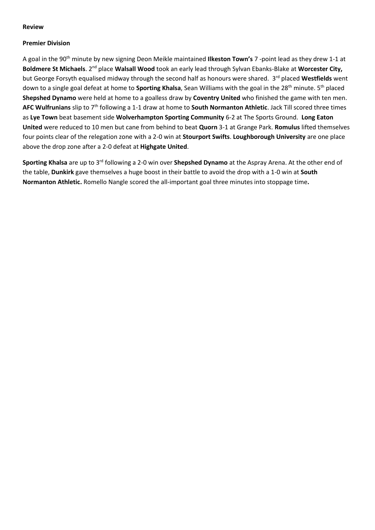#### **Review**

#### **Premier Division**

A goal in the 90th minute by new signing Deon Meikle maintained **Ilkeston Town's** 7 -point lead as they drew 1-1 at **Boldmere St Michaels**. 2nd place **Walsall Wood** took an early lead through Sylvan Ebanks-Blake at **Worcester City,** but George Forsyth equalised midway through the second half as honours were shared. 3<sup>rd</sup> placed Westfields went down to a single goal defeat at home to **Sporting Khalsa**, Sean Williams with the goal in the 28th minute. 5th placed **Shepshed Dynamo** were held at home to a goalless draw by **Coventry United** who finished the game with ten men. **AFC Wulfrunians** slip to 7th following a 1-1 draw at home to **South Normanton Athletic**. Jack Till scored three times as **Lye Town** beat basement side **Wolverhampton Sporting Community** 6-2 at The Sports Ground. **Long Eaton United** were reduced to 10 men but cane from behind to beat **Quorn** 3-1 at Grange Park. **Romulus** lifted themselves four points clear of the relegation zone with a 2-0 win at **Stourport Swifts**. **Loughborough University** are one place above the drop zone after a 2-0 defeat at **Highgate United**.

**Sporting Khalsa** are up to 3rd following a 2-0 win over **Shepshed Dynamo** at the Aspray Arena. At the other end of the table, **Dunkirk** gave themselves a huge boost in their battle to avoid the drop with a 1-0 win at **South Normanton Athletic.** Romello Nangle scored the all-important goal three minutes into stoppage time**.**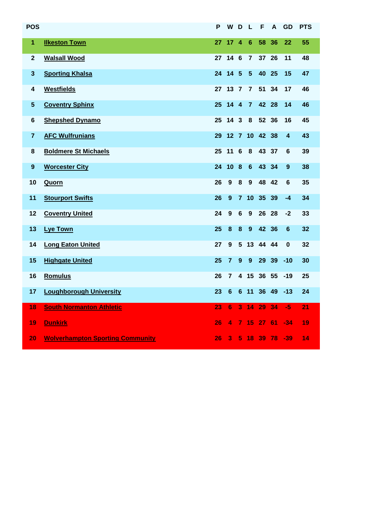| <b>POS</b>       |                                         | P  | W               | D                       | L              | F        | A    | GD       | <b>PTS</b> |
|------------------|-----------------------------------------|----|-----------------|-------------------------|----------------|----------|------|----------|------------|
| 1                | <b>Ilkeston Town</b>                    | 27 | 17 <sub>4</sub> |                         | 6              | 58       | 36   | 22       | 55         |
| $\mathbf{2}$     | <b>Walsall Wood</b>                     |    | 27 14 6         |                         | $\overline{7}$ | 37       | 26   | 11       | 48         |
| $\mathbf{3}$     | <b>Sporting Khalsa</b>                  | 24 | 14 5            |                         | $5\phantom{1}$ | 40       | 25   | 15       | 47         |
| 4                | <b>Westfields</b>                       | 27 | $13 \quad 7$    |                         | $\overline{7}$ | 51       | 34   | 17       | 46         |
| $5\phantom{.0}$  | <b>Coventry Sphinx</b>                  | 25 | $14 \quad 4$    |                         | $\overline{7}$ | 42       | 28   | 14       | 46         |
| $\bf 6$          | <b>Shepshed Dynamo</b>                  | 25 | 14 <sub>3</sub> |                         | 8              | 52       | 36   | 16       | 45         |
| $\overline{7}$   | <b>AFC Wulfrunians</b>                  | 29 | $12 \quad 7$    |                         |                | 10 42 38 |      | 4        | 43         |
| 8                | <b>Boldmere St Michaels</b>             | 25 | 11 6            |                         | 8              | 43       | 37   | 6        | 39         |
| $\boldsymbol{9}$ | <b>Worcester City</b>                   | 24 | 10              | $\overline{\mathbf{8}}$ | $6\phantom{a}$ | 43       | 34   | 9        | 38         |
| 10               | Quorn                                   | 26 | 9               | 8                       | 9              | 48       | 42   | 6        | 35         |
| 11               | <b>Stourport Swifts</b>                 | 26 | 9               | 7 <sup>7</sup>          | 10             | 35       | 39   | $-4$     | 34         |
| 12               | <b>Coventry United</b>                  | 24 | $\mathbf{9}$    | $6\phantom{1}$          | 9              | 26       | 28   | -2       | 33         |
| 13               | <b>Lye Town</b>                         | 25 | 8               | $\bf{8}$                | 9              | 42 36    |      | 6        | 32         |
| 14               | <b>Long Eaton United</b>                | 27 | 9               | $5\phantom{1}$          | 13             | 44       | -44  | $\bf{0}$ | 32         |
| 15               | <b>Highgate United</b>                  | 25 | $\overline{7}$  | 9                       | 9              | 29       | 39   | $-10$    | 30         |
| 16               | <b>Romulus</b>                          | 26 | $\overline{7}$  | 4                       | 15             | 36 55    |      | $-19$    | 25         |
| 17               | <b>Loughborough University</b>          | 23 | $6\phantom{a}$  |                         | 6 11           | 36 49    |      | $-13$    | 24         |
| 18               | <b>South Normanton Athletic</b>         | 23 | 6               | 3                       | 14             | 29       | 34   | $-5$     | 21         |
| 19               | <b>Dunkirk</b>                          | 26 | 4               | $\overline{7}$          | 15             | 27       | - 61 | $-34$    | 19         |
| 20               | <b>Wolverhampton Sporting Community</b> | 26 | 3               | 5                       | 18             | 39       | 78   | $-39$    | 14         |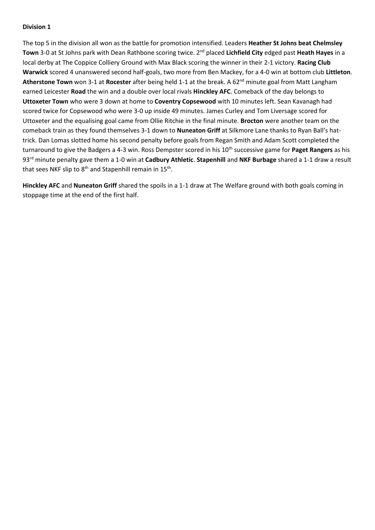The top 5 in the division all won as the battle for promotion intensified. Leaders **Heather St Johns beat Chelmsley Town** 3-0 at St Johns park with Dean Rathbone scoring twice. 2nd placed **Lichfield City** edged past **Heath Hayes** in a local derby at The Coppice Colliery Ground with Max Black scoring the winner in their 2-1 victory. **Racing Club Warwick** scored 4 unanswered second half-goals, two more from Ben Mackey, for a 4-0 win at bottom club **Littleton**. Atherstone Town won 3-1 at **Rocester** after being held 1-1 at the break. A 62<sup>nd</sup> minute goal from Matt Langham earned Leicester **Road** the win and a double over local rivals **Hinckley AFC**. Comeback of the day belongs to **Uttoxeter Town** who were 3 down at home to **Coventry Copsewood** with 10 minutes left. Sean Kavanagh had scored twice for Copsewood who were 3-0 up inside 49 minutes. James Curley and Tom Liversage scored for Uttoxeter and the equalising goal came from Ollie Ritchie in the final minute. **Brocton** were another team on the comeback train as they found themselves 3-1 down to **Nuneaton Griff** at Silkmore Lane thanks to Ryan Ball's hattrick. Dan Lomas slotted home his second penalty before goals from Regan Smith and Adam Scott completed the turnaround to give the Badgers a 4-3 win. Ross Dempster scored in his 10<sup>th</sup> successive game for **Paget Rangers** as his 93rd minute penalty gave them a 1-0 win at **Cadbury Athletic**. **Stapenhill** and **NKF Burbage** shared a 1-1 draw a result that sees NKF slip to 8<sup>th</sup> and Stapenhill remain in 15<sup>th</sup>.

**Hinckley AFC** and **Nuneaton Griff** shared the spoils in a 1-1 draw at The Welfare ground with both goals coming in stoppage time at the end of the first half.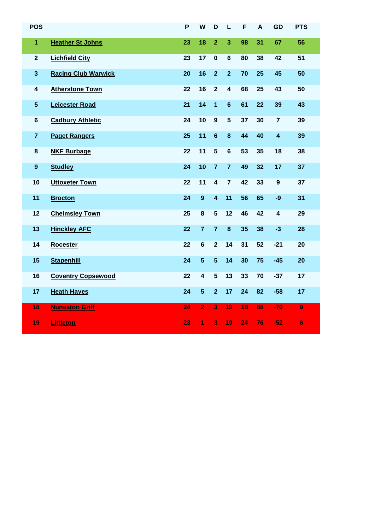| <b>POS</b>       |                            | P  | W                       | D                       | L                       | F  | A  | GD                      | <b>PTS</b>     |
|------------------|----------------------------|----|-------------------------|-------------------------|-------------------------|----|----|-------------------------|----------------|
| $\mathbf{1}$     | <b>Heather St Johns</b>    | 23 | 18                      | $\overline{2}$          | 3                       | 98 | 31 | 67                      | 56             |
| $\mathbf{2}$     | <b>Lichfield City</b>      | 23 | 17                      | $\mathbf 0$             | $6\phantom{a}$          | 80 | 38 | 42                      | 51             |
| $\mathbf{3}$     | <b>Racing Club Warwick</b> | 20 | 16                      | $\overline{2}$          | $\overline{2}$          | 70 | 25 | 45                      | 50             |
| 4                | <b>Atherstone Town</b>     | 22 | 16                      | $\overline{2}$          | $\overline{\mathbf{4}}$ | 68 | 25 | 43                      | 50             |
| $5\phantom{.0}$  | <b>Leicester Road</b>      | 21 | 14                      | 1                       | $6\phantom{a}$          | 61 | 22 | 39                      | 43             |
| $6\phantom{1}$   | <b>Cadbury Athletic</b>    | 24 | 10                      | $\boldsymbol{9}$        | $\overline{\mathbf{5}}$ | 37 | 30 | $\overline{7}$          | 39             |
| $\overline{7}$   | <b>Paget Rangers</b>       | 25 | 11                      | $6\phantom{1}6$         | 8                       | 44 | 40 | $\overline{\mathbf{4}}$ | 39             |
| 8                | <b>NKF Burbage</b>         | 22 | 11                      | 5                       | $\bf 6$                 | 53 | 35 | 18                      | 38             |
| $\boldsymbol{9}$ | <b>Studley</b>             | 24 | 10                      | $\overline{7}$          | $\overline{7}$          | 49 | 32 | 17                      | 37             |
| 10               | <b>Uttoxeter Town</b>      | 22 | 11                      | $\overline{\mathbf{4}}$ | $\overline{7}$          | 42 | 33 | $\boldsymbol{9}$        | 37             |
| 11               | <b>Brocton</b>             | 24 | $\boldsymbol{9}$        | $\overline{\mathbf{4}}$ | 11                      | 56 | 65 | $-9$                    | 31             |
| 12               | <b>Chelmsley Town</b>      | 25 | 8                       | 5                       | 12                      | 46 | 42 | $\overline{\mathbf{4}}$ | 29             |
| 13               | <b>Hinckley AFC</b>        | 22 | $\overline{7}$          | $\overline{7}$          | $\bf{8}$                | 35 | 38 | $-3$                    | 28             |
| 14               | <b>Rocester</b>            | 22 | $6\phantom{a}$          | $\overline{\mathbf{2}}$ | 14                      | 31 | 52 | $-21$                   | 20             |
| 15               | <b>Stapenhill</b>          | 24 | $5\phantom{1}$          | $5\phantom{1}$          | 14                      | 30 | 75 | $-45$                   | 20             |
| 16               | <b>Coventry Copsewood</b>  | 22 | $\overline{\mathbf{4}}$ | $5\phantom{1}$          | 13                      | 33 | 70 | $-37$                   | 17             |
| 17               | <b>Heath Hayes</b>         | 24 | $5\phantom{1}$          | $\overline{2}$          | 17                      | 24 | 82 | $-58$                   | 17             |
| 18               | <b>Nuneaton Griff</b>      | 24 | $\overline{2}$          | 3                       | 19                      | 18 | 88 | $-70$                   | $\overline{9}$ |
| 19               | <b>Littleton</b>           | 23 | 1                       | 3                       | 19                      | 24 | 76 | $-52$                   | $6\phantom{1}$ |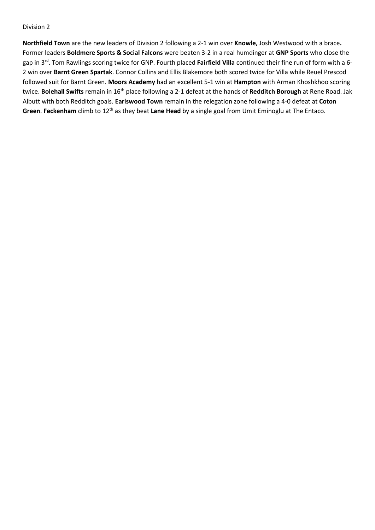**Northfield Town** are the new leaders of Division 2 following a 2-1 win over **Knowle,** Josh Westwood with a brace**.** Former leaders **Boldmere Sports & Social Falcons** were beaten 3-2 in a real humdinger at **GNP Sports** who close the gap in 3rd. Tom Rawlings scoring twice for GNP. Fourth placed **Fairfield Villa** continued their fine run of form with a 6- 2 win over **Barnt Green Spartak**. Connor Collins and Ellis Blakemore both scored twice for Villa while Reuel Prescod followed suit for Barnt Green. **Moors Academy** had an excellent 5-1 win at **Hampton** with Arman Khoshkhoo scoring twice. **Bolehall Swifts** remain in 16th place following a 2-1 defeat at the hands of **Redditch Borough** at Rene Road. Jak Albutt with both Redditch goals. **Earlswood Town** remain in the relegation zone following a 4-0 defeat at **Coton Green**. **Feckenham** climb to 12th as they beat **Lane Head** by a single goal from Umit Eminoglu at The Entaco.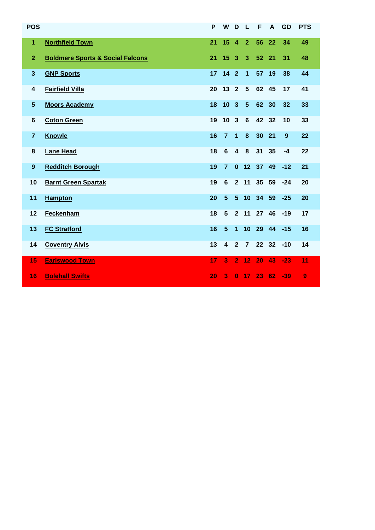| <b>POS</b>       |                                             | P  | W                       | D                       | L                    | F        | A     | <b>GD</b> | <b>PTS</b> |
|------------------|---------------------------------------------|----|-------------------------|-------------------------|----------------------|----------|-------|-----------|------------|
| $\mathbf{1}$     | <b>Northfield Town</b>                      | 21 | 15                      | $\overline{4}$          | $\overline{2}$       | 56       | 22    | 34        | 49         |
| $\overline{2}$   | <b>Boldmere Sports &amp; Social Falcons</b> | 21 | 15 <sub>1</sub>         | $\overline{3}$          | $\overline{3}$       | 52 21    |       | 31        | 48         |
| $\mathbf{3}$     | <b>GNP Sports</b>                           | 17 | $142$                   |                         | $\blacktriangleleft$ | 57       | 19    | 38        | 44         |
| 4                | <b>Fairfield Villa</b>                      | 20 | 13                      | $\overline{2}$          | 5                    | 62 45    |       | 17        | 41         |
| $5\phantom{.0}$  | <b>Moors Academy</b>                        | 18 | 10                      | $\overline{\mathbf{3}}$ | $5\phantom{.0}$      | 62       | 30    | 32        | 33         |
| 6                | <b>Coton Green</b>                          | 19 | 10 <sup>°</sup>         | $\mathbf{3}$            | $6\phantom{1}$       | 42 32    |       | 10        | 33         |
| $\overline{7}$   | <b>Knowle</b>                               | 16 | $\overline{7}$          | $\overline{\mathbf{1}}$ | 8                    | 30       | 21    | 9         | 22         |
| 8                | <b>Lane Head</b>                            | 18 | 6                       | $\boldsymbol{4}$        | 8                    | 31       | 35    | $-4$      | 22         |
| $\boldsymbol{9}$ | <b>Redditch Borough</b>                     | 19 | $\overline{7}$          | $\mathbf{0}$            |                      | 12 37    | 49    | $-12$     | 21         |
| 10               | <b>Barnt Green Spartak</b>                  | 19 | $6\phantom{1}$          | $2^{\circ}$             | 11                   | 35 59    |       | $-24$     | 20         |
| 11               | <b>Hampton</b>                              | 20 | $5\phantom{.}$          | 5 <sup>5</sup>          |                      | 10 34 59 |       | $-25$     | 20         |
| 12               | Feckenham                                   | 18 | 5                       | 2 <sup>1</sup>          | 11                   | 27 46    |       | $-19$     | 17         |
| 13               | <b>FC Stratford</b>                         | 16 | $5\phantom{.}$          | $\mathbf{1}$            | 10                   | 29 44    |       | $-15$     | 16         |
| 14               | <b>Coventry Alvis</b>                       | 13 | $\overline{\mathbf{4}}$ | $\overline{2}$          | $\overline{7}$       |          | 22 32 | $-10$     | 14         |
| 15               | <b>Earlswood Town</b>                       | 17 | 3                       |                         | 2 <sub>12</sub>      | 20       | 43    | $-23$     | 11         |
| 16               | <b>Bolehall Swifts</b>                      | 20 | 3                       | $\bf{0}$                | 17                   | 23       | 62    | $-39$     | 9          |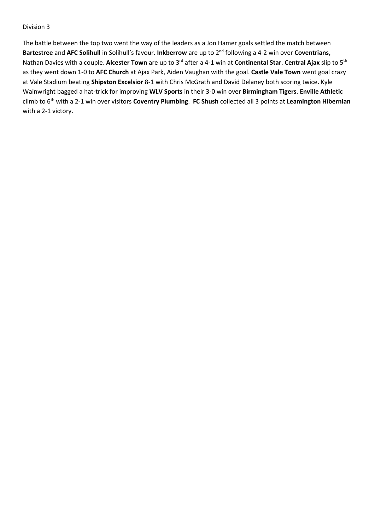The battle between the top two went the way of the leaders as a Jon Hamer goals settled the match between **Bartestree** and AFC Solihull in Solihull's favour. Inkberrow are up to 2<sup>nd</sup> following a 4-2 win over Coventrians, Nathan Davies with a couple. **Alcester Town** are up to 3rd after a 4-1 win at **Continental Star**. **Central Ajax** slip to 5th as they went down 1-0 to **AFC Church** at Ajax Park, Aiden Vaughan with the goal. **Castle Vale Town** went goal crazy at Vale Stadium beating **Shipston Excelsior** 8-1 with Chris McGrath and David Delaney both scoring twice. Kyle Wainwright bagged a hat-trick for improving **WLV Sports** in their 3-0 win over **Birmingham Tigers**. **Enville Athletic** climb to 6th with a 2-1 win over visitors **Coventry Plumbing**. **FC Shush** collected all 3 points at **Leamington Hibernian** with a 2-1 victory.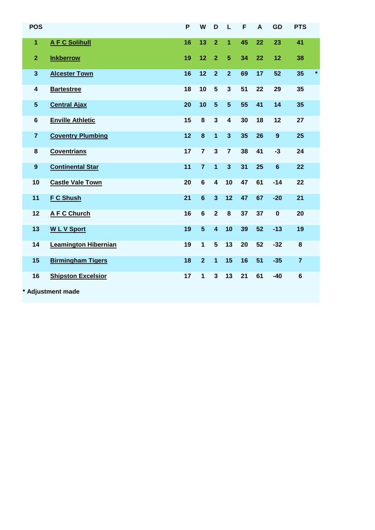| <b>POS</b>       |                             | P  | W              | D                       | L                       | F  | A  | <b>GD</b>        | <b>PTS</b>     |         |
|------------------|-----------------------------|----|----------------|-------------------------|-------------------------|----|----|------------------|----------------|---------|
| 1                | <b>A F C Solihull</b>       | 16 | 13             | $\overline{2}$          | 1                       | 45 | 22 | 23               | 41             |         |
| $\overline{2}$   | <b>Inkberrow</b>            | 19 | 12             | $\overline{2}$          | $\overline{5}$          | 34 | 22 | 12               | 38             |         |
| $\mathbf{3}$     | <b>Alcester Town</b>        | 16 | 12             | $\overline{2}$          | $\overline{2}$          | 69 | 17 | 52               | 35             | $\star$ |
| 4                | <b>Bartestree</b>           | 18 | 10             | $5\phantom{1}$          | $\mathbf{3}$            | 51 | 22 | 29               | 35             |         |
| $5\phantom{.0}$  | <b>Central Ajax</b>         | 20 | 10             | 5                       | $5\phantom{.}$          | 55 | 41 | 14               | 35             |         |
| $\bf 6$          | <b>Enville Athletic</b>     | 15 | 8              | 3                       | $\overline{\mathbf{4}}$ | 30 | 18 | 12               | 27             |         |
| $\overline{7}$   | <b>Coventry Plumbing</b>    | 12 | 8              | $\overline{\mathbf{1}}$ | $\mathbf{3}$            | 35 | 26 | $\boldsymbol{9}$ | 25             |         |
| $\bf 8$          | <b>Coventrians</b>          | 17 | $\overline{7}$ | 3                       | $\overline{7}$          | 38 | 41 | $-3$             | 24             |         |
| $\boldsymbol{9}$ | <b>Continental Star</b>     | 11 | $\overline{7}$ | 1                       | $\overline{3}$          | 31 | 25 | $6\phantom{1}6$  | 22             |         |
| 10               | <b>Castle Vale Town</b>     | 20 | $6\phantom{1}$ | $\overline{\mathbf{4}}$ | 10                      | 47 | 61 | $-14$            | 22             |         |
| 11               | <b>F C Shush</b>            | 21 | $6\phantom{1}$ | $\overline{\mathbf{3}}$ | 12                      | 47 | 67 | $-20$            | 21             |         |
| 12               | <b>AFC Church</b>           | 16 | $6\phantom{1}$ | $\overline{2}$          | 8                       | 37 | 37 | $\bf{0}$         | 20             |         |
| 13               | <b>WLV</b> Sport            | 19 | $5\phantom{.}$ | $\overline{\mathbf{4}}$ | 10                      | 39 | 52 | $-13$            | 19             |         |
| 14               | <b>Leamington Hibernian</b> | 19 | $\mathbf{1}$   | 5                       | 13                      | 20 | 52 | $-32$            | 8              |         |
| 15               | <b>Birmingham Tigers</b>    | 18 | $\overline{2}$ | $\overline{\mathbf{1}}$ | 15                      | 16 | 51 | $-35$            | $\overline{7}$ |         |
| 16               | <b>Shipston Excelsior</b>   | 17 | 1              | 3                       | 13                      | 21 | 61 | $-40$            | $\bf 6$        |         |
|                  | * Adjustment made           |    |                |                         |                         |    |    |                  |                |         |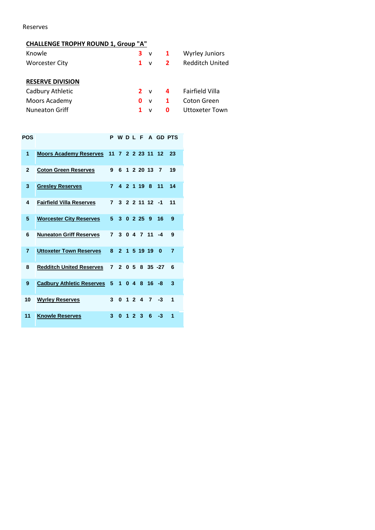Reserves

# **CHALLENGE TROPHY ROUND 1, Group "A"**

| Knowle                  |    | $3 \vee 1$   |              | <b>Wyrley Juniors</b>  |
|-------------------------|----|--------------|--------------|------------------------|
| <b>Worcester City</b>   | 1. | $\mathbf{v}$ | $\mathbf{2}$ | <b>Redditch United</b> |
|                         |    |              |              |                        |
| <b>RESERVE DIVISION</b> |    |              |              |                        |
| Cadbury Athletic        |    | $2 \vee$     | $\mathbf{a}$ | <b>Fairfield Villa</b> |
| Moors Academy           | O. | $\mathsf{v}$ | -1           | Coton Green            |
| <b>Nuneaton Griff</b>   |    |              | O            | Uttoxeter Town         |

| <b>POS</b>     |                                           |                         |          |  |             |                      |                  | P W D L F A GD PTS |
|----------------|-------------------------------------------|-------------------------|----------|--|-------------|----------------------|------------------|--------------------|
| 1              | Moors Academy Reserves 11 7 2 2 23 11 12  |                         |          |  |             |                      |                  | 23                 |
| $\mathbf{2}$   | <b>Coton Green Reserves</b>               | 9                       |          |  |             | 6 1 2 20 13          | 7                | 19                 |
| 3              | <b>Gresley Reserves</b>                   | $\overline{7}$          |          |  | 4 2 1 19 8  |                      | 11               | 14                 |
| 4              | <b>Fairfield Villa Reserves</b>           | $\overline{\mathbf{z}}$ |          |  |             | $3$ 2 2 11 12 -1     |                  | 11                 |
| 5              | <b>Worcester City Reserves</b>            | 5.                      |          |  |             | $3 \t0 \t2 \t25 \t9$ | 16               | 9                  |
| 6              | <b>Nuneaton Griff Reserves</b>            | 7                       |          |  |             | 3 0 4 7 11 -4        |                  | 9                  |
| $\overline{7}$ | <b>Uttoxeter Town Reserves</b>            | 8                       |          |  | 2 1 5 19 19 |                      | $\bf{0}$         | 7                  |
| 8              | <b>Redditch United Reserves</b>           |                         |          |  |             |                      | 7 2 0 5 8 35 -27 | 6                  |
| 9              | Cadbury Athletic Reserves 5 1 0 4 8 16 -8 |                         |          |  |             |                      |                  | 3                  |
| 10             | <b>Wyrley Reserves</b>                    | $\mathbf{3}$            |          |  |             | 0, 1, 2, 4, 7        | -3               | 1                  |
| 11             | <b>Knowle Reserves</b>                    | 3                       | $\bf{0}$ |  | 123         | 6                    | -3               | 1                  |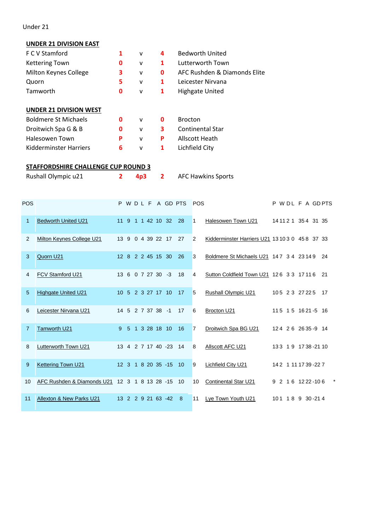Under 21

# **UNDER 21 DIVISION EAST**

| F C V Stamford                             |   | v            | 4 | <b>Bedworth United</b>       |
|--------------------------------------------|---|--------------|---|------------------------------|
| <b>Kettering Town</b>                      | 0 | v            | 1 | Lutterworth Town             |
| Milton Keynes College                      | 3 | v            | 0 | AFC Rushden & Diamonds Elite |
| Quorn                                      | 5 | v            | 1 | Leicester Nirvana            |
| Tamworth                                   | 0 | $\mathsf{v}$ | 1 | <b>Highgate United</b>       |
|                                            |   |              |   |                              |
| <b>UNDER 21 DIVISION WEST</b>              |   |              |   |                              |
| <b>Boldmere St Michaels</b>                | O | $\mathsf{V}$ | 0 | <b>Brocton</b>               |
| Droitwich Spa G & B                        | 0 | v            | 3 | <b>Continental Star</b>      |
| Halesowen Town                             | P | v            | P | Allscott Heath               |
| Kidderminster Harriers                     | 6 | v            | 1 | Lichfield City               |
|                                            |   |              |   |                              |
| <b>STAFFORDSHIRE CHALLENGE CUP ROUND 3</b> |   |              |   |                              |
| Rushall Olympic u21                        | 2 | 4p3          | 2 | <b>AFC Hawkins Sports</b>    |
|                                            |   |              |   |                              |
|                                            |   |              |   |                              |

| POS          |                            |                 |  |                   | P W D L F A GD PTS    |    | <b>POS</b>     |                                                 |  | P W DL F A GDPTS        |     |
|--------------|----------------------------|-----------------|--|-------------------|-----------------------|----|----------------|-------------------------------------------------|--|-------------------------|-----|
| $\mathbf{1}$ | <b>Bedworth United U21</b> | $11 \quad 9$    |  | 1 1 42 10 32      |                       | 28 | 1              | Halesowen Town U21                              |  | 14 11 2 1 3 5 4 31 35   |     |
| 2            | Milton Keynes College U21  | $13 \quad 9$    |  |                   | 0 4 39 22 17          | 27 | 2              | Kidderminster Harriers U21 13 10 3 0 45 8 37 33 |  |                         |     |
| 3            | Quorn U21                  |                 |  | 12 8 2 2 45 15 30 |                       | 26 | 3              | Boldmere St Michaels U21 147 3 4 23 14 9        |  |                         | 24  |
| 4            | FCV Stamford U21           |                 |  | 13 6 0 7 27 30 -3 |                       | 18 | 4              | Sutton Coldfield Town U21 126 33 17116          |  |                         | -21 |
| 5            | <b>Highgate United U21</b> |                 |  | 10 5 2 3 27 17 10 |                       | 17 | 5              | <b>Rushall Olympic U21</b>                      |  | 105 2 3 27 22 5         | 17  |
| 6            | Leicester Nirvana U21      |                 |  | 14 5 2 7 37 38 -1 |                       | 17 | 6              | Brocton U21                                     |  | 115 15 16 21 -5 16      |     |
| 7            | <b>Tamworth U21</b>        |                 |  | 9 5 1 3 28 18 10  |                       | 16 | $\overline{7}$ | Droitwich Spa BG U21                            |  | 124 26 26 35 -9 14      |     |
| 8            | Lutterworth Town U21       |                 |  |                   | 13 4 2 7 17 40 -23    | 14 | 8              | Allscott AFC U21                                |  | 133 19 1738-2110        |     |
| 9            | <b>Kettering Town U21</b>  |                 |  |                   | 12 3 1 8 20 35 -15 10 |    | 9              | <b>Lichfield City U21</b>                       |  | 142 1 11 17 39 - 22 7   |     |
| 10           | AFC Rushden & Diamonds U21 |                 |  |                   | 12 3 1 8 13 28 -15 10 |    | 10             | Continental Star U21                            |  | 9 2 1 6 1 2 2 2 - 1 0 6 |     |
| 11           | Allexton & New Parks U21   | 13 <sup>°</sup> |  | 2 2 9 21 63 -42   |                       | 8  | 11             | Lye Town Youth U21                              |  | 101 18 9 30 - 214       |     |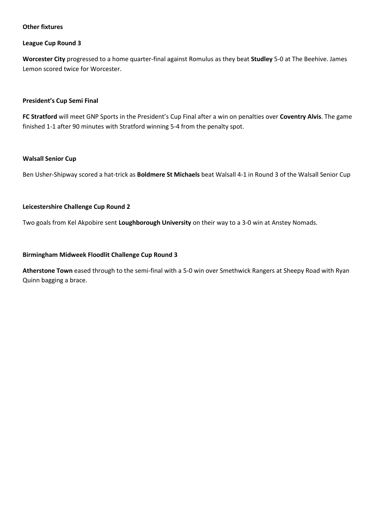#### **Other fixtures**

#### **League Cup Round 3**

**Worcester City** progressed to a home quarter-final against Romulus as they beat **Studley** 5-0 at The Beehive. James Lemon scored twice for Worcester.

#### **President's Cup Semi Final**

**FC Stratford** will meet GNP Sports in the President's Cup Final after a win on penalties over **Coventry Alvis**. The game finished 1-1 after 90 minutes with Stratford winning 5-4 from the penalty spot.

#### **Walsall Senior Cup**

Ben Usher-Shipway scored a hat-trick as **Boldmere St Michaels** beat Walsall 4-1 in Round 3 of the Walsall Senior Cup

#### **Leicestershire Challenge Cup Round 2**

Two goals from Kel Akpobire sent **Loughborough University** on their way to a 3-0 win at Anstey Nomads.

#### **Birmingham Midweek Floodlit Challenge Cup Round 3**

**Atherstone Town** eased through to the semi-final with a 5-0 win over Smethwick Rangers at Sheepy Road with Ryan Quinn bagging a brace.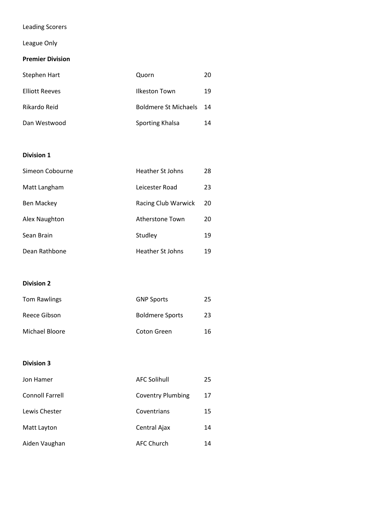# Leading Scorers

# League Only

### **Premier Division**

| Stephen Hart          | Quorn                       | 20  |
|-----------------------|-----------------------------|-----|
| <b>Elliott Reeves</b> | Ilkeston Town               | 19  |
| Rikardo Reid          | <b>Boldmere St Michaels</b> | -14 |
| Dan Westwood          | Sporting Khalsa             | 14  |

#### **Division 1**

| Simeon Cobourne   | Heather St Johns    | 28 |
|-------------------|---------------------|----|
| Matt Langham      | Leicester Road      | 23 |
| <b>Ben Mackey</b> | Racing Club Warwick | 20 |
| Alex Naughton     | Atherstone Town     | 20 |
| Sean Brain        | Studley             | 19 |
| Dean Rathbone     | Heather St Johns    | 19 |

#### **Division 2**

| <b>Tom Rawlings</b> | <b>GNP Sports</b>      | 25 |
|---------------------|------------------------|----|
| Reece Gibson        | <b>Boldmere Sports</b> | 23 |
| Michael Bloore      | Coton Green            | 16 |

| Jon Hamer              | <b>AFC Solihull</b>      | 25 |
|------------------------|--------------------------|----|
| <b>Connoll Farrell</b> | <b>Coventry Plumbing</b> | 17 |
| Lewis Chester          | Coventrians              | 15 |
| Matt Layton            | Central Ajax             | 14 |
| Aiden Vaughan          | <b>AFC Church</b>        | 14 |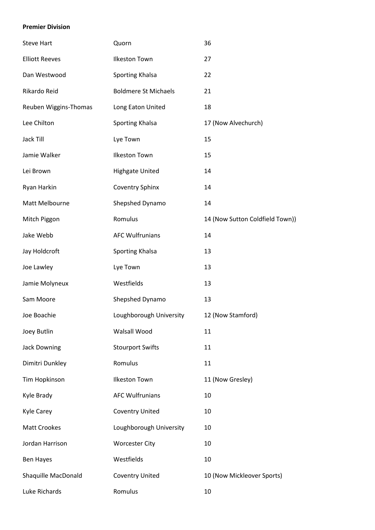#### **Premier Division**

| <b>Steve Hart</b>     | Quorn                       | 36                              |
|-----------------------|-----------------------------|---------------------------------|
| <b>Elliott Reeves</b> | <b>Ilkeston Town</b>        | 27                              |
| Dan Westwood          | Sporting Khalsa             | 22                              |
| Rikardo Reid          | <b>Boldmere St Michaels</b> | 21                              |
| Reuben Wiggins-Thomas | Long Eaton United           | 18                              |
| Lee Chilton           | Sporting Khalsa             | 17 (Now Alvechurch)             |
| Jack Till             | Lye Town                    | 15                              |
| Jamie Walker          | <b>Ilkeston Town</b>        | 15                              |
| Lei Brown             | <b>Highgate United</b>      | 14                              |
| Ryan Harkin           | <b>Coventry Sphinx</b>      | 14                              |
| Matt Melbourne        | Shepshed Dynamo             | 14                              |
| Mitch Piggon          | Romulus                     | 14 (Now Sutton Coldfield Town)) |
| Jake Webb             | <b>AFC Wulfrunians</b>      | 14                              |
| Jay Holdcroft         | Sporting Khalsa             | 13                              |
| Joe Lawley            | Lye Town                    | 13                              |
| Jamie Molyneux        | Westfields                  | 13                              |
| Sam Moore             | Shepshed Dynamo             | 13                              |
| Joe Boachie           | Loughborough University     | 12 (Now Stamford)               |
| Joey Butlin           | Walsall Wood                | 11                              |
| <b>Jack Downing</b>   | <b>Stourport Swifts</b>     | 11                              |
| Dimitri Dunkley       | Romulus                     | 11                              |
| Tim Hopkinson         | <b>Ilkeston Town</b>        | 11 (Now Gresley)                |
| Kyle Brady            | <b>AFC Wulfrunians</b>      | 10                              |
| <b>Kyle Carey</b>     | <b>Coventry United</b>      | 10                              |
| <b>Matt Crookes</b>   | Loughborough University     | 10                              |
| Jordan Harrison       | <b>Worcester City</b>       | 10                              |
| <b>Ben Hayes</b>      | Westfields                  | 10                              |
| Shaquille MacDonald   | <b>Coventry United</b>      | 10 (Now Mickleover Sports)      |
| Luke Richards         | Romulus                     | 10                              |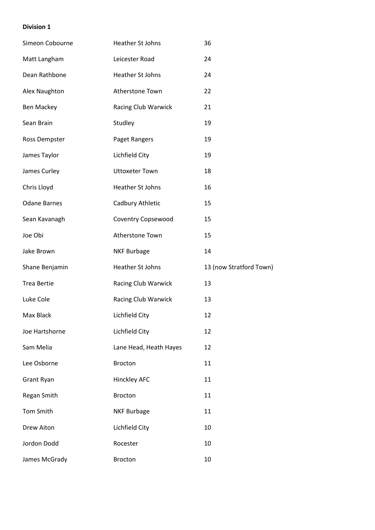| Simeon Cobourne     | Heather St Johns       | 36                      |
|---------------------|------------------------|-------------------------|
| Matt Langham        | Leicester Road         | 24                      |
| Dean Rathbone       | Heather St Johns       | 24                      |
| Alex Naughton       | Atherstone Town        | 22                      |
| <b>Ben Mackey</b>   | Racing Club Warwick    | 21                      |
| Sean Brain          | Studley                | 19                      |
| Ross Dempster       | Paget Rangers          | 19                      |
| James Taylor        | Lichfield City         | 19                      |
| James Curley        | <b>Uttoxeter Town</b>  | 18                      |
| Chris Lloyd         | Heather St Johns       | 16                      |
| <b>Odane Barnes</b> | Cadbury Athletic       | 15                      |
| Sean Kavanagh       | Coventry Copsewood     | 15                      |
| Joe Obi             | Atherstone Town        | 15                      |
| Jake Brown          | <b>NKF Burbage</b>     | 14                      |
| Shane Benjamin      | Heather St Johns       | 13 (now Stratford Town) |
| <b>Trea Bertie</b>  | Racing Club Warwick    | 13                      |
| Luke Cole           | Racing Club Warwick    | 13                      |
| Max Black           | Lichfield City         | 12                      |
| Joe Hartshorne      | Lichfield City         | 12                      |
| Sam Melia           | Lane Head, Heath Hayes | 12                      |
| Lee Osborne         | <b>Brocton</b>         | 11                      |
| Grant Ryan          | <b>Hinckley AFC</b>    | 11                      |
| Regan Smith         | <b>Brocton</b>         | 11                      |
| Tom Smith           | <b>NKF Burbage</b>     | 11                      |
| <b>Drew Aiton</b>   | Lichfield City         | 10                      |
| Jordon Dodd         | Rocester               | 10                      |
| James McGrady       | <b>Brocton</b>         | 10                      |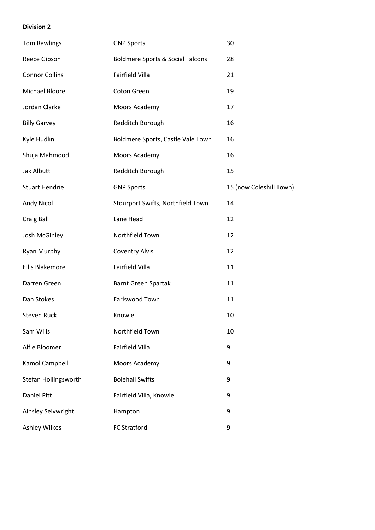| <b>Tom Rawlings</b>   | <b>GNP Sports</b>                           | 30                      |
|-----------------------|---------------------------------------------|-------------------------|
| Reece Gibson          | <b>Boldmere Sports &amp; Social Falcons</b> | 28                      |
| <b>Connor Collins</b> | <b>Fairfield Villa</b>                      | 21                      |
| Michael Bloore        | Coton Green                                 | 19                      |
| Jordan Clarke         | Moors Academy                               | 17                      |
| <b>Billy Garvey</b>   | Redditch Borough                            | 16                      |
| Kyle Hudlin           | Boldmere Sports, Castle Vale Town           | 16                      |
| Shuja Mahmood         | Moors Academy                               | 16                      |
| Jak Albutt            | Redditch Borough                            | 15                      |
| <b>Stuart Hendrie</b> | <b>GNP Sports</b>                           | 15 (now Coleshill Town) |
| <b>Andy Nicol</b>     | Stourport Swifts, Northfield Town           | 14                      |
| Craig Ball            | Lane Head                                   | 12                      |
| Josh McGinley         | Northfield Town                             | 12                      |
| Ryan Murphy           | <b>Coventry Alvis</b>                       | 12                      |
| Ellis Blakemore       | Fairfield Villa                             | 11                      |
| Darren Green          | <b>Barnt Green Spartak</b>                  | 11                      |
| Dan Stokes            | Earlswood Town                              | 11                      |
| Steven Ruck           | Knowle                                      | 10                      |
| Sam Wills             | Northfield Town                             | 10                      |
| Alfie Bloomer         | Fairfield Villa                             | 9                       |
| Kamol Campbell        | Moors Academy                               | 9                       |
| Stefan Hollingsworth  | <b>Bolehall Swifts</b>                      | 9                       |
| <b>Daniel Pitt</b>    | Fairfield Villa, Knowle                     | 9                       |
| Ainsley Seivwright    | Hampton                                     | 9                       |
| <b>Ashley Wilkes</b>  | <b>FC Stratford</b>                         | 9                       |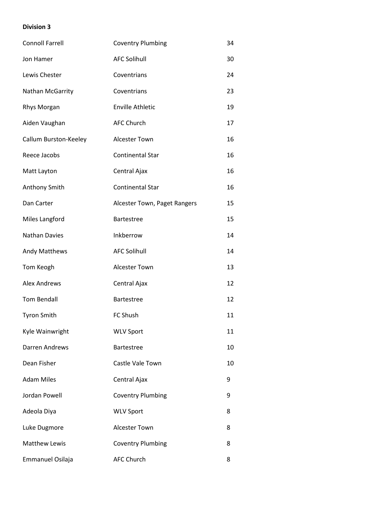| <b>Connoll Farrell</b> | <b>Coventry Plumbing</b>     | 34 |
|------------------------|------------------------------|----|
| Jon Hamer              | <b>AFC Solihull</b>          | 30 |
| Lewis Chester          | Coventrians                  | 24 |
| Nathan McGarrity       | Coventrians                  | 23 |
| Rhys Morgan            | <b>Enville Athletic</b>      | 19 |
| Aiden Vaughan          | <b>AFC Church</b>            | 17 |
| Callum Burston-Keeley  | <b>Alcester Town</b>         | 16 |
| Reece Jacobs           | <b>Continental Star</b>      | 16 |
| Matt Layton            | Central Ajax                 | 16 |
| Anthony Smith          | <b>Continental Star</b>      | 16 |
| Dan Carter             | Alcester Town, Paget Rangers | 15 |
| Miles Langford         | <b>Bartestree</b>            | 15 |
| <b>Nathan Davies</b>   | Inkberrow                    | 14 |
| Andy Matthews          | <b>AFC Solihull</b>          | 14 |
| Tom Keogh              | <b>Alcester Town</b>         | 13 |
| <b>Alex Andrews</b>    | Central Ajax                 | 12 |
| <b>Tom Bendall</b>     | <b>Bartestree</b>            | 12 |
| <b>Tyron Smith</b>     | FC Shush                     | 11 |
| Kyle Wainwright        | <b>WLV Sport</b>             | 11 |
| Darren Andrews         | Bartestree                   | 10 |
| Dean Fisher            | Castle Vale Town             | 10 |
| <b>Adam Miles</b>      | Central Ajax                 | 9  |
| Jordan Powell          | <b>Coventry Plumbing</b>     | 9  |
| Adeola Diya            | <b>WLV Sport</b>             | 8  |
| Luke Dugmore           | <b>Alcester Town</b>         | 8  |
| <b>Matthew Lewis</b>   | <b>Coventry Plumbing</b>     | 8  |
| Emmanuel Osilaja       | <b>AFC Church</b>            | 8  |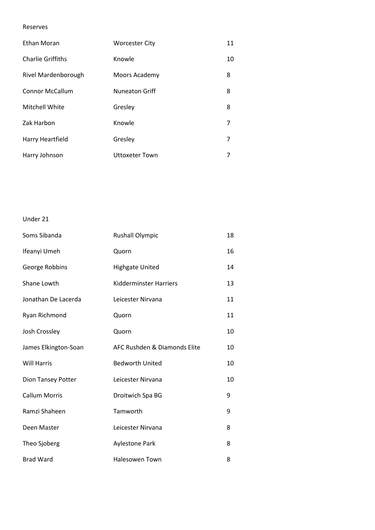#### Reserves

| Ethan Moran              | <b>Worcester City</b> | 11 |
|--------------------------|-----------------------|----|
| <b>Charlie Griffiths</b> | Knowle                | 10 |
| Rivel Mardenborough      | Moors Academy         | 8  |
| <b>Connor McCallum</b>   | <b>Nuneaton Griff</b> | 8  |
| Mitchell White           | Gresley               | 8  |
| Zak Harbon               | Knowle                | 7  |
| Harry Heartfield         | Gresley               | 7  |
| Harry Johnson            | <b>Uttoxeter Town</b> | 7  |

#### Under 21

| Soms Sibanda         | <b>Rushall Olympic</b>        | 18 |
|----------------------|-------------------------------|----|
| Ifeanyi Umeh         | Quorn                         | 16 |
| George Robbins       | <b>Highgate United</b>        | 14 |
| Shane Lowth          | <b>Kidderminster Harriers</b> | 13 |
| Jonathan De Lacerda  | Leicester Nirvana             | 11 |
| Ryan Richmond        | Quorn                         | 11 |
| Josh Crossley        | Quorn                         | 10 |
| James Elkington-Soan | AFC Rushden & Diamonds Elite  | 10 |
| <b>Will Harris</b>   | <b>Bedworth United</b>        | 10 |
| Dion Tansey Potter   | Leicester Nirvana             | 10 |
| <b>Callum Morris</b> | Droitwich Spa BG              | 9  |
| Ramzi Shaheen        | Tamworth                      | 9  |
| Deen Master          | Leicester Nirvana             | 8  |
| Theo Sjoberg         | <b>Aylestone Park</b>         | 8  |
| <b>Brad Ward</b>     | <b>Halesowen Town</b>         | 8  |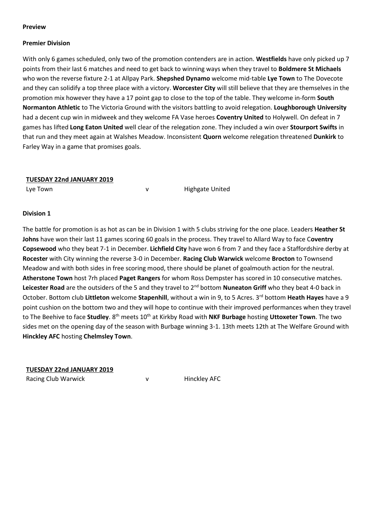#### **Preview**

#### **Premier Division**

With only 6 games scheduled, only two of the promotion contenders are in action. **Westfields** have only picked up 7 points from their last 6 matches and need to get back to winning ways when they travel to **Boldmere St Michaels** who won the reverse fixture 2-1 at Allpay Park. **Shepshed Dynamo** welcome mid-table **Lye Town** to The Dovecote and they can solidify a top three place with a victory. **Worcester City** will still believe that they are themselves in the promotion mix however they have a 17 point gap to close to the top of the table. They welcome in-form **South Normanton Athletic** to The Victoria Ground with the visitors battling to avoid relegation. **Loughborough University** had a decent cup win in midweek and they welcome FA Vase heroes **Coventry United** to Holywell. On defeat in 7 games has lifted **Long Eaton United** well clear of the relegation zone. They included a win over **Stourport Swifts** in that run and they meet again at Walshes Meadow. Inconsistent **Quorn** welcome relegation threatened **Dunkirk** to Farley Way in a game that promises goals.

#### **TUESDAY 22nd JANUARY 2019**

Lye Town **v Highgate United** 

#### **Division 1**

The battle for promotion is as hot as can be in Division 1 with 5 clubs striving for the one place. Leaders **Heather St Johns** have won their last 11 games scoring 60 goals in the process. They travel to Allard Way to face C**oventry Copsewood** who they beat 7-1 in December. **Lichfield City** have won 6 from 7 and they face a Staffordshire derby at **Rocester** with City winning the reverse 3-0 in December. **Racing Club Warwick** welcome **Brocton** to Townsend Meadow and with both sides in free scoring mood, there should be planet of goalmouth action for the neutral. **Atherstone Town** host 7rh placed **Paget Rangers** for whom Ross Dempster has scored in 10 consecutive matches. Leicester Road are the outsiders of the 5 and they travel to 2<sup>nd</sup> bottom **Nuneaton Griff** who they beat 4-0 back in October. Bottom club Littleton welcome Stapenhill, without a win in 9, to 5 Acres. 3<sup>rd</sup> bottom Heath Hayes have a 9 point cushion on the bottom two and they will hope to continue with their improved performances when they travel to The Beehive to face **Studley**. 8th meets 10th at Kirkby Road with **NKF Burbage** hosting **Uttoxeter Town**. The two sides met on the opening day of the season with Burbage winning 3-1. 13th meets 12th at The Welfare Ground with **Hinckley AFC** hosting **Chelmsley Town**.

**TUESDAY 22nd JANUARY 2019**

Racing Club Warwick **v** v Hinckley AFC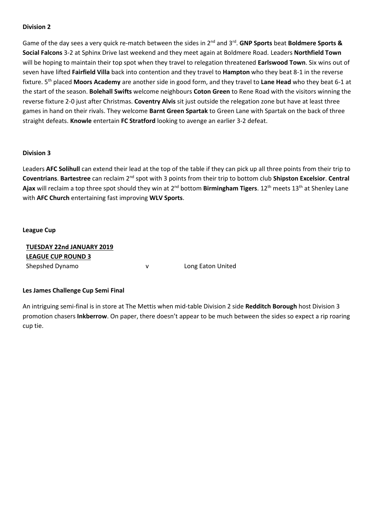Game of the day sees a very quick re-match between the sides in 2<sup>nd</sup> and 3<sup>rd</sup>. GNP Sports beat Boldmere Sports & **Social Falcons** 3-2 at Sphinx Drive last weekend and they meet again at Boldmere Road. Leaders **Northfield Town** will be hoping to maintain their top spot when they travel to relegation threatened **Earlswood Town**. Six wins out of seven have lifted **Fairfield Villa** back into contention and they travel to **Hampton** who they beat 8-1 in the reverse fixture. 5th placed **Moors Academy** are another side in good form, and they travel to **Lane Head** who they beat 6-1 at the start of the season. **Bolehall Swifts** welcome neighbours **Coton Green** to Rene Road with the visitors winning the reverse fixture 2-0 just after Christmas. **Coventry Alvis** sit just outside the relegation zone but have at least three games in hand on their rivals. They welcome **Barnt Green Spartak** to Green Lane with Spartak on the back of three straight defeats. **Knowle** entertain **FC Stratford** looking to avenge an earlier 3-2 defeat.

#### **Division 3**

Leaders **AFC Solihull** can extend their lead at the top of the table if they can pick up all three points from their trip to **Coventrians**. **Bartestree** can reclaim 2nd spot with 3 points from their trip to bottom club **Shipston Excelsior**. **Central**  Ajax will reclaim a top three spot should they win at 2<sup>nd</sup> bottom Birmingham Tigers. 12<sup>th</sup> meets 13<sup>th</sup> at Shenley Lane with **AFC Church** entertaining fast improving **WLV Sports**.

#### **League Cup**

| TUESDAY 22nd JANUARY 2019 |   |                   |
|---------------------------|---|-------------------|
| <b>LEAGUE CUP ROUND 3</b> |   |                   |
| Shepshed Dynamo           | v | Long Eaton United |

#### **Les James Challenge Cup Semi Final**

An intriguing semi-final is in store at The Mettis when mid-table Division 2 side **Redditch Borough** host Division 3 promotion chasers **Inkberrow**. On paper, there doesn't appear to be much between the sides so expect a rip roaring cup tie.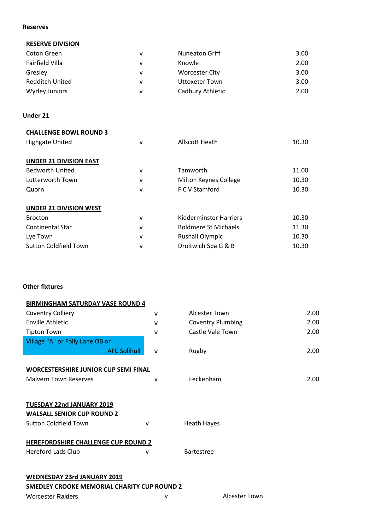#### **Reserves**

#### **RESERVE DIVISION**

| Coton Green            | v | <b>Nuneaton Griff</b> | 3.00 |
|------------------------|---|-----------------------|------|
| Fairfield Villa        | v | Knowle                | 2.00 |
| Gresley                | v | <b>Worcester City</b> | 3.00 |
| <b>Redditch United</b> | v | <b>Uttoxeter Town</b> | 3.00 |
| Wyrley Juniors         | v | Cadbury Athletic      | 2.00 |

#### **Under 21**

| <b>CHALLENGE BOWL ROUND 3</b> |   |                               |       |
|-------------------------------|---|-------------------------------|-------|
| <b>Highgate United</b>        | v | Allscott Heath                | 10.30 |
|                               |   |                               |       |
| <b>UNDER 21 DIVISION EAST</b> |   |                               |       |
| <b>Bedworth United</b>        | ۷ | Tamworth                      | 11.00 |
| Lutterworth Town              | ۷ | Milton Keynes College         | 10.30 |
| Quorn                         | ۷ | F C V Stamford                | 10.30 |
|                               |   |                               |       |
| <b>UNDER 21 DIVISION WEST</b> |   |                               |       |
| <b>Brocton</b>                | v | <b>Kidderminster Harriers</b> | 10.30 |
| <b>Continental Star</b>       | ٧ | <b>Boldmere St Michaels</b>   | 11.30 |
| Lye Town                      | ٧ | <b>Rushall Olympic</b>        | 10.30 |
| <b>Sutton Coldfield Town</b>  | ٧ | Droitwich Spa G & B           | 10.30 |

#### **Other fixtures**

| <b>BIRMINGHAM SATURDAY VASE ROUND 4</b>                        |              |                          |      |
|----------------------------------------------------------------|--------------|--------------------------|------|
| <b>Coventry Colliery</b>                                       | $\vee$       | Alcester Town            | 2.00 |
| <b>Enville Athletic</b>                                        | $\vee$       | <b>Coventry Plumbing</b> | 2.00 |
| <b>Tipton Town</b>                                             | $\mathsf{V}$ | Castle Vale Town         | 2.00 |
| Village "A" or Folly Lane OB or                                |              |                          |      |
| <b>AFC Solihull</b>                                            | $\vee$       | Rugby                    | 2.00 |
|                                                                |              |                          |      |
| <b>WORCESTERSHIRE JUNIOR CUP SEMI FINAL</b>                    |              |                          |      |
| <b>Malvern Town Reserves</b>                                   | v            | Feckenham                | 2.00 |
|                                                                |              |                          |      |
| TUESDAY 22nd JANUARY 2019<br><b>WALSALL SENIOR CUP ROUND 2</b> |              |                          |      |
| <b>Sutton Coldfield Town</b>                                   | v            | <b>Heath Hayes</b>       |      |
|                                                                |              |                          |      |
| HEREFORDSHIRE CHALLENGE CUP ROUND 2                            |              |                          |      |
| <b>Hereford Lads Club</b>                                      | ٧            | <b>Bartestree</b>        |      |
|                                                                |              |                          |      |
|                                                                |              |                          |      |

# **WEDNESDAY 23rd JANUARY 2019 SMEDLEY CROOKE MEMORIAL CHARITY CUP ROUND 2**

#### Worcester Raiders and Alcester Town